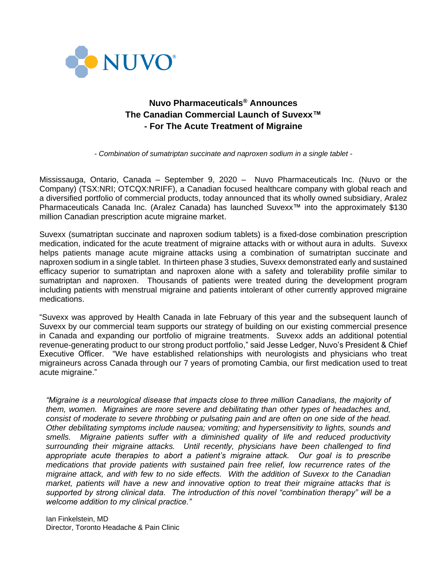

# **Nuvo Pharmaceuticals® Announces The Canadian Commercial Launch of Suvexx™ - For The Acute Treatment of Migraine**

*- Combination of sumatriptan succinate and naproxen sodium in a single tablet -*

Mississauga, Ontario, Canada – September 9, 2020 – Nuvo Pharmaceuticals Inc. (Nuvo or the Company) (TSX:NRI; OTCQX:NRIFF), a Canadian focused healthcare company with global reach and a diversified portfolio of commercial products, today announced that its wholly owned subsidiary, Aralez Pharmaceuticals Canada Inc. (Aralez Canada) has launched Suvexx™ into the approximately \$130 million Canadian prescription acute migraine market.

Suvexx (sumatriptan succinate and naproxen sodium tablets) is a fixed-dose combination prescription medication, indicated for the acute treatment of migraine attacks with or without aura in adults. Suvexx helps patients manage acute migraine attacks using a combination of sumatriptan succinate and naproxen sodium in a single tablet. In thirteen phase 3 studies, Suvexx demonstrated early and sustained efficacy superior to sumatriptan and naproxen alone with a safety and tolerability profile similar to sumatriptan and naproxen. Thousands of patients were treated during the development program including patients with menstrual migraine and patients intolerant of other currently approved migraine medications.

"Suvexx was approved by Health Canada in late February of this year and the subsequent launch of Suvexx by our commercial team supports our strategy of building on our existing commercial presence in Canada and expanding our portfolio of migraine treatments. Suvexx adds an additional potential revenue-generating product to our strong product portfolio," said Jesse Ledger, Nuvo's President & Chief Executive Officer. "We have established relationships with neurologists and physicians who treat migraineurs across Canada through our 7 years of promoting Cambia, our first medication used to treat acute migraine."

*"Migraine is a neurological disease that impacts close to three million Canadians, the majority of them, women. Migraines are more severe and debilitating than other types of headaches and, consist of moderate to severe throbbing or pulsating pain and are often on one side of the head. Other debilitating symptoms include nausea; vomiting; and hypersensitivity to lights, sounds and smells. Migraine patients suffer with a diminished quality of life and reduced productivity surrounding their migraine attacks. Until recently, physicians have been challenged to find appropriate acute therapies to abort a patient's migraine attack. Our goal is to prescribe medications that provide patients with sustained pain free relief, low recurrence rates of the migraine attack, and with few to no side effects. With the addition of Suvexx to the Canadian market, patients will have a new and innovative option to treat their migraine attacks that is supported by strong clinical data. The introduction of this novel "combination therapy" will be a welcome addition to my clinical practice."* 

Ian Finkelstein, MD Director, Toronto Headache & Pain Clinic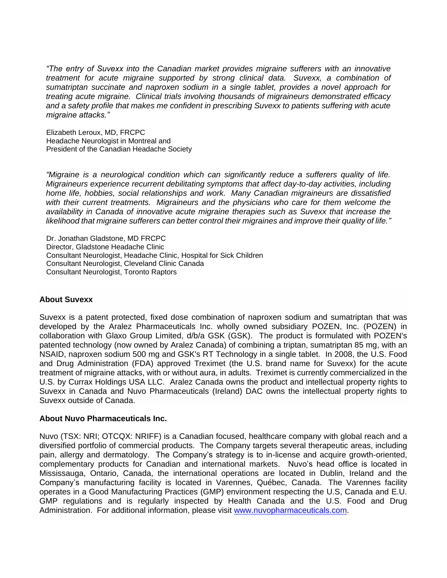*"The entry of Suvexx into the Canadian market provides migraine sufferers with an innovative treatment for acute migraine supported by strong clinical data. Suvexx, a combination of sumatriptan succinate and naproxen sodium in a single tablet, provides a novel approach for treating acute migraine. Clinical trials involving thousands of migraineurs demonstrated efficacy and a safety profile that makes me confident in prescribing Suvexx to patients suffering with acute migraine attacks."*

Elizabeth Leroux, MD, FRCPC Headache Neurologist in Montreal and President of the Canadian Headache Society

*"Migraine is a neurological condition which can significantly reduce a sufferers quality of life. Migraineurs experience recurrent debilitating symptoms that affect day-to-day activities, including home life, hobbies, social relationships and work. Many Canadian migraineurs are dissatisfied with their current treatments. Migraineurs and the physicians who care for them welcome the availability in Canada of innovative acute migraine therapies such as Suvexx that increase the likelihood that migraine sufferers can better control their migraines and improve their quality of life."*

Dr. Jonathan Gladstone, MD FRCPC Director, Gladstone Headache Clinic Consultant Neurologist, Headache Clinic, Hospital for Sick Children Consultant Neurologist, Cleveland Clinic Canada Consultant Neurologist, Toronto Raptors

# **About Suvexx**

Suvexx is a patent protected, fixed dose combination of naproxen sodium and sumatriptan that was developed by the Aralez Pharmaceuticals Inc. wholly owned subsidiary POZEN, Inc. (POZEN) in collaboration with Glaxo Group Limited, d/b/a GSK (GSK). The product is formulated with POZEN's patented technology (now owned by Aralez Canada) of combining a triptan, sumatriptan 85 mg, with an NSAID, naproxen sodium 500 mg and GSK's RT Technology in a single tablet. In 2008, the U.S. Food and Drug Administration (FDA) approved Treximet (the U.S. brand name for Suvexx) for the acute treatment of migraine attacks, with or without aura, in adults. Treximet is currently commercialized in the U.S. by Currax Holdings USA LLC. Aralez Canada owns the product and intellectual property rights to Suvexx in Canada and Nuvo Pharmaceuticals (Ireland) DAC owns the intellectual property rights to Suvexx outside of Canada.

### **About Nuvo Pharmaceuticals Inc.**

Nuvo (TSX: NRI; OTCQX: NRIFF) is a Canadian focused, healthcare company with global reach and a diversified portfolio of commercial products. The Company targets several therapeutic areas, including pain, allergy and dermatology. The Company's strategy is to in-license and acquire growth-oriented, complementary products for Canadian and international markets. Nuvo's head office is located in Mississauga, Ontario, Canada, the international operations are located in Dublin, Ireland and the Company's manufacturing facility is located in Varennes, Québec, Canada. The Varennes facility operates in a Good Manufacturing Practices (GMP) environment respecting the U.S, Canada and E.U. GMP regulations and is regularly inspected by Health Canada and the U.S. Food and Drug Administration. For additional information, please visit [www.nuvopharmaceuticals.com.](http://www.nuvopharmaceuticals.com/)